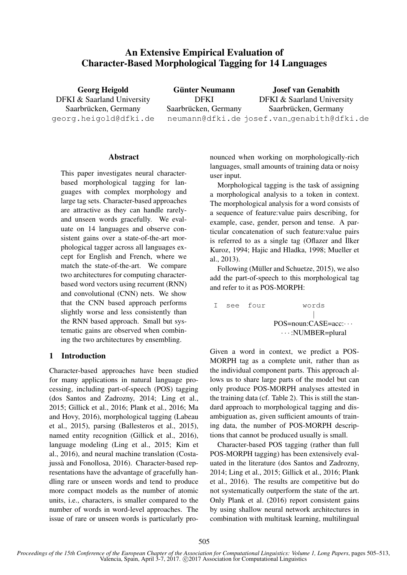# An Extensive Empirical Evaluation of Character-Based Morphological Tagging for 14 Languages

Georg Heigold DFKI & Saarland University Saarbrücken, Germany georg.heigold@dfki.de

Günter Neumann DFKI Saarbrücken, Germany neumann@dfki.de josef.van genabith@dfki.de Josef van Genabith DFKI & Saarland University Saarbrücken, Germany

### Abstract

This paper investigates neural characterbased morphological tagging for languages with complex morphology and large tag sets. Character-based approaches are attractive as they can handle rarelyand unseen words gracefully. We evaluate on 14 languages and observe consistent gains over a state-of-the-art morphological tagger across all languages except for English and French, where we match the state-of-the-art. We compare two architectures for computing characterbased word vectors using recurrent (RNN) and convolutional (CNN) nets. We show that the CNN based approach performs slightly worse and less consistently than the RNN based approach. Small but systematic gains are observed when combining the two architectures by ensembling.

# 1 Introduction

Character-based approaches have been studied for many applications in natural language processing, including part-of-speech (POS) tagging (dos Santos and Zadrozny, 2014; Ling et al., 2015; Gillick et al., 2016; Plank et al., 2016; Ma and Hovy, 2016), morphological tagging (Labeau et al., 2015), parsing (Ballesteros et al., 2015), named entity recognition (Gillick et al., 2016), language modeling (Ling et al., 2015; Kim et al., 2016), and neural machine translation (Costajussà and Fonollosa, 2016). Character-based representations have the advantage of gracefully handling rare or unseen words and tend to produce more compact models as the number of atomic units, i.e., characters, is smaller compared to the number of words in word-level approaches. The issue of rare or unseen words is particularly pro-

nounced when working on morphologically-rich languages, small amounts of training data or noisy user input.

Morphological tagging is the task of assigning a morphological analysis to a token in context. The morphological analysis for a word consists of a sequence of feature:value pairs describing, for example, case, gender, person and tense. A particular concatenation of such feature:value pairs is referred to as a single tag (Oflazer and İlker Kuroz, 1994; Hajic and Hladka, 1998; Mueller et al., 2013).

Following (Müller and Schuetze,  $2015$ ), we also add the part-of-speech to this morphological tag and refer to it as POS-MORPH:

```
I see four words
            |
  POS=noun:CASE=acc: · · ·
    · · · :NUMBER=plural
```
Given a word in context, we predict a POS-MORPH tag as a complete unit, rather than as the individual component parts. This approach allows us to share large parts of the model but can only produce POS-MORPH analyses attested in the training data (cf. Table 2). This is still the standard approach to morphological tagging and disambiguation as, given sufficient amounts of training data, the number of POS-MORPH descriptions that cannot be produced usually is small.

Character-based POS tagging (rather than full POS-MORPH tagging) has been extensively evaluated in the literature (dos Santos and Zadrozny, 2014; Ling et al., 2015; Gillick et al., 2016; Plank et al., 2016). The results are competitive but do not systematically outperform the state of the art. Only Plank et al. (2016) report consistent gains by using shallow neural network architectures in combination with multitask learning, multilingual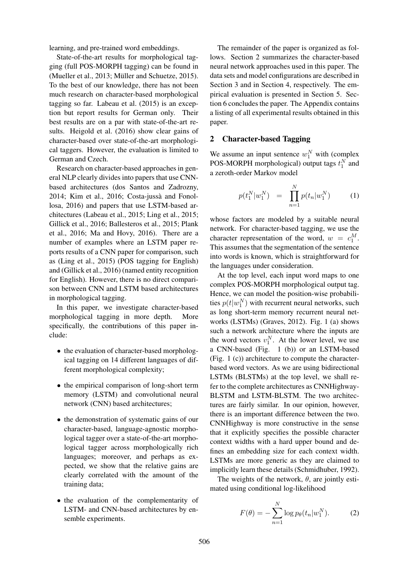learning, and pre-trained word embeddings.

State-of-the-art results for morphological tagging (full POS-MORPH tagging) can be found in (Mueller et al., 2013; Müller and Schuetze, 2015). To the best of our knowledge, there has not been much research on character-based morphological tagging so far. Labeau et al. (2015) is an exception but report results for German only. Their best results are on a par with state-of-the-art results. Heigold et al. (2016) show clear gains of character-based over state-of-the-art morphological taggers. However, the evaluation is limited to German and Czech.

Research on character-based approaches in general NLP clearly divides into papers that use CNNbased architectures (dos Santos and Zadrozny, 2014; Kim et al., 2016; Costa-jussà and Fonollosa, 2016) and papers that use LSTM-based architectures (Labeau et al., 2015; Ling et al., 2015; Gillick et al., 2016; Ballesteros et al., 2015; Plank et al., 2016; Ma and Hovy, 2016). There are a number of examples where an LSTM paper reports results of a CNN paper for comparison, such as (Ling et al., 2015) (POS tagging for English) and (Gillick et al., 2016) (named entity recognition for English). However, there is no direct comparison between CNN and LSTM based architectures in morphological tagging.

In this paper, we investigate character-based morphological tagging in more depth. More specifically, the contributions of this paper include:

- the evaluation of character-based morphological tagging on 14 different languages of different morphological complexity;
- the empirical comparison of long-short term memory (LSTM) and convolutional neural network (CNN) based architectures;
- the demonstration of systematic gains of our character-based, language-agnostic morphological tagger over a state-of-the-art morphological tagger across morphologically rich languages; moreover, and perhaps as expected, we show that the relative gains are clearly correlated with the amount of the training data;
- the evaluation of the complementarity of LSTM- and CNN-based architectures by ensemble experiments.

The remainder of the paper is organized as follows. Section 2 summarizes the character-based neural network approaches used in this paper. The data sets and model configurations are described in Section 3 and in Section 4, respectively. The empirical evaluation is presented in Section 5. Section 6 concludes the paper. The Appendix contains a listing of all experimental results obtained in this paper.

### 2 Character-based Tagging

We assume an input sentence  $w_1^N$  with (complex POS-MORPH morphological) output tags  $t_1^N$  and a zeroth-order Markov model

$$
p(t_1^N|w_1^N) = \prod_{n=1}^N p(t_n|w_1^N) \tag{1}
$$

whose factors are modeled by a suitable neural network. For character-based tagging, we use the character representation of the word,  $w = c_1^M$ . This assumes that the segmentation of the sentence into words is known, which is straightforward for the languages under consideration.

At the top level, each input word maps to one complex POS-MORPH morphological output tag. Hence, we can model the position-wise probabilities  $p(t|w_1^N)$  with recurrent neural networks, such as long short-term memory recurrent neural networks (LSTMs) (Graves, 2012). Fig. 1 (a) shows such a network architecture where the inputs are the word vectors  $v_1^N$ . At the lower level, we use a CNN-based (Fig. 1 (b)) or an LSTM-based (Fig. 1 (c)) architecture to compute the characterbased word vectors. As we are using bidirectional LSTMs (BLSTMs) at the top level, we shall refer to the complete architectures as CNNHighway-BLSTM and LSTM-BLSTM. The two architectures are fairly similar. In our opinion, however, there is an important difference between the two. CNNHighway is more constructive in the sense that it explicitly specifies the possible character context widths with a hard upper bound and defines an embedding size for each context width. LSTMs are more generic as they are claimed to implicitly learn these details (Schmidhuber, 1992).

The weights of the network,  $\theta$ , are jointly estimated using conditional log-likelihood

$$
F(\theta) = -\sum_{n=1}^{N} \log p_{\theta}(t_n | w_1^N). \tag{2}
$$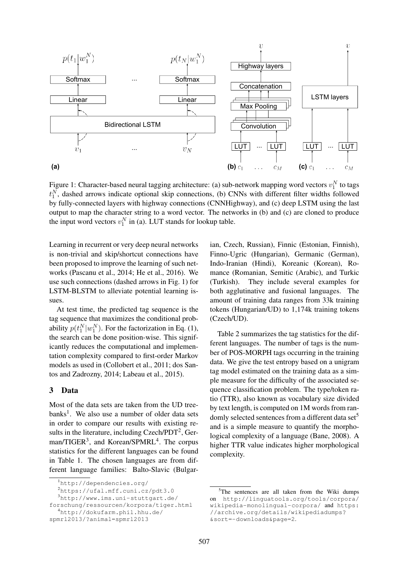

Figure 1: Character-based neural tagging architecture: (a) sub-network mapping word vectors  $v_1^N$  to tags  $t_1^N$ , dashed arrows indicate optional skip connections, (b) CNNs with different filter widths followed by fully-connected layers with highway connections (CNNHighway), and (c) deep LSTM using the last output to map the character string to a word vector. The networks in (b) and (c) are cloned to produce the input word vectors  $v_1^N$  in (a). LUT stands for lookup table.

Learning in recurrent or very deep neural networks is non-trivial and skip/shortcut connections have been proposed to improve the learning of such networks (Pascanu et al., 2014; He et al., 2016). We use such connections (dashed arrows in Fig. 1) for LSTM-BLSTM to alleviate potential learning issues.

At test time, the predicted tag sequence is the tag sequence that maximizes the conditional probability  $p(t_1^N|w_1^N)$ . For the factorization in Eq. (1), the search can be done position-wise. This significantly reduces the computational and implementation complexity compared to first-order Markov models as used in (Collobert et al., 2011; dos Santos and Zadrozny, 2014; Labeau et al., 2015).

### 3 Data

Most of the data sets are taken from the UD treebanks<sup>1</sup>. We also use a number of older data sets in order to compare our results with existing results in the literature, including Czech/PDT $^2$ , German/TIGER<sup>3</sup>, and Korean/SPMRL<sup>4</sup>. The corpus statistics for the different languages can be found in Table 1. The chosen languages are from different language families: Balto-Slavic (Bulgar-

ian, Czech, Russian), Finnic (Estonian, Finnish), Finno-Ugric (Hungarian), Germanic (German), Indo-Iranian (Hindi), Koreanic (Korean), Romance (Romanian, Semitic (Arabic), and Turkic (Turkish). They include several examples for both agglutinative and fusional languages. The amount of training data ranges from 33k training tokens (Hungarian/UD) to 1,174k training tokens (Czech/UD).

Table 2 summarizes the tag statistics for the different languages. The number of tags is the number of POS-MORPH tags occurring in the training data. We give the test entropy based on a unigram tag model estimated on the training data as a simple measure for the difficulty of the associated sequence classification problem. The type/token ratio (TTR), also known as vocabulary size divided by text length, is computed on 1M words from randomly selected sentences from a different data set<sup>5</sup> and is a simple measure to quantify the morphological complexity of a language (Bane, 2008). A higher TTR value indicates higher morphological complexity.

<sup>1</sup>http://dependencies.org/

<sup>2</sup>https://ufal.mff.cuni.cz/pdt3.0

<sup>3</sup>http://www.ims.uni-stuttgart.de/

forschung/ressourcen/korpora/tiger.html <sup>4</sup>http://dokufarm.phil.hhu.de/

spmrl2013/?animal=spmrl2013

<sup>&</sup>lt;sup>5</sup>The sentences are all taken from the Wiki dumps on http://linguatools.org/tools/corpora/ wikipedia-monolingual-corpora/ and https: //archive.org/details/wikipediadumps? &sort=-downloads&page=2.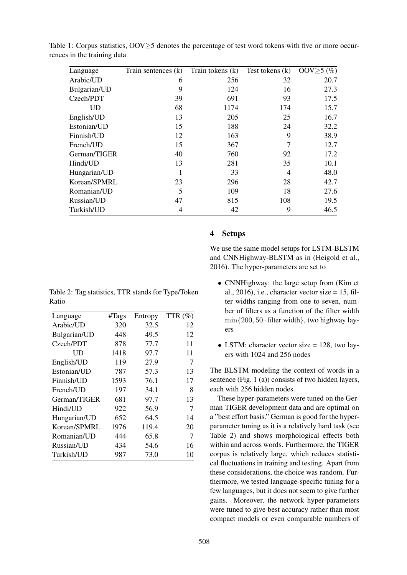| Language     | Train sentences (k) | Train tokens (k) | Test tokens $(k)$ | OOV $\geq$ 5 (%) |
|--------------|---------------------|------------------|-------------------|------------------|
| Arabic/UD    | 6                   | 256              | 32                | 20.7             |
| Bulgarian/UD | 9                   | 124              | 16                | 27.3             |
| Czech/PDT    | 39                  | 691              | 93                | 17.5             |
| UD           | 68                  | 1174             | 174               | 15.7             |
| English/UD   | 13                  | 205              | 25                | 16.7             |
| Estonian/UD  | 15                  | 188              | 24                | 32.2             |
| Finnish/UD   | 12                  | 163              | 9                 | 38.9             |
| French/UD    | 15                  | 367              |                   | 12.7             |
| German/TIGER | 40                  | 760              | 92                | 17.2             |
| Hindi/UD     | 13                  | 281              | 35                | 10.1             |
| Hungarian/UD |                     | 33               | 4                 | 48.0             |
| Korean/SPMRL | 23                  | 296              | 28                | 42.7             |
| Romanian/UD  | 5                   | 109              | 18                | 27.6             |
| Russian/UD   | 47                  | 815              | 108               | 19.5             |
| Turkish/UD   | 4                   | 42               | 9                 | 46.5             |

Table 1: Corpus statistics, OOV≥5 denotes the percentage of test word tokens with five or more occurrences in the training data

| <b>Setups</b> |
|---------------|
|               |

We use the same model setups for LSTM-BLSTM and CNNHighway-BLSTM as in (Heigold et al., 2016). The hyper-parameters are set to

- CNNHighway: the large setup from (Kim et al.,  $2016$ ), i.e., character vector size = 15, filter widths ranging from one to seven, number of filters as a function of the filter width  $\min\{200, 50 \cdot \text{filter width}\},$  two highway layers
- LSTM: character vector size = 128, two layers with 1024 and 256 nodes

The BLSTM modeling the context of words in a sentence (Fig. 1 (a)) consists of two hidden layers, each with 256 hidden nodes.

These hyper-parameters were tuned on the German TIGER development data and are optimal on a "best effort basis." German is good for the hyperparameter tuning as it is a relatively hard task (see Table 2) and shows morphological effects both within and across words. Furthermore, the TIGER corpus is relatively large, which reduces statistical fluctuations in training and testing. Apart from these considerations, the choice was random. Furthermore, we tested language-specific tuning for a few languages, but it does not seem to give further gains. Moreover, the network hyper-parameters were tuned to give best accuracy rather than most compact models or even comparable numbers of

Table 2: Tag statistics, TTR stands for Type/Token Ratio

| Language     | #Tags | Entropy | TTR $(\%)$ |
|--------------|-------|---------|------------|
| Arabic/UD    | 320   | 32.5    | 12         |
| Bulgarian/UD | 448   | 49.5    | 12         |
| Czech/PDT    | 878   | 77.7    | 11         |
| UD           | 1418  | 97.7    | 11         |
| English/UD   | 119   | 27.9    | 7          |
| Estonian/UD  | 787   | 57.3    | 13         |
| Finnish/UD   | 1593  | 76.1    | 17         |
| French/UD    | 197   | 34.1    | 8          |
| German/TIGER | 681   | 97.7    | 13         |
| Hindi/UD     | 922   | 56.9    | 7          |
| Hungarian/UD | 652   | 64.5    | 14         |
| Korean/SPMRL | 1976  | 119.4   | 20         |
| Romanian/UD  | 444   | 65.8    | 7          |
| Russian/UD   | 434   | 54.6    | 16         |
| Turkish/UD   | 987   | 73.0    | 10         |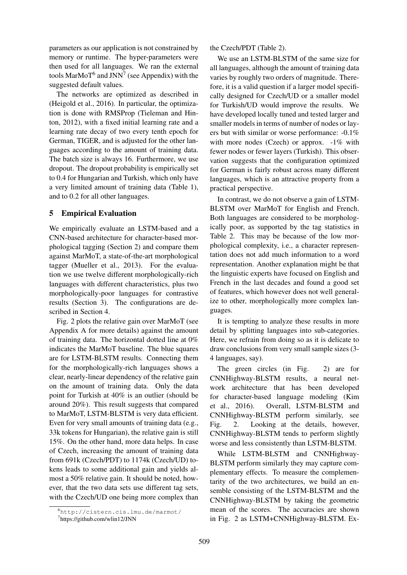parameters as our application is not constrained by memory or runtime. The hyper-parameters were then used for all languages. We ran the external tools  $MarMoT<sup>6</sup>$  and  $JNN<sup>7</sup>$  (see Appendix) with the suggested default values.

The networks are optimized as described in (Heigold et al., 2016). In particular, the optimization is done with RMSProp (Tieleman and Hinton, 2012), with a fixed initial learning rate and a learning rate decay of two every tenth epoch for German, TIGER, and is adjusted for the other languages according to the amount of training data. The batch size is always 16. Furthermore, we use dropout. The dropout probability is empirically set to 0.4 for Hungarian and Turkish, which only have a very limited amount of training data (Table 1), and to 0.2 for all other languages.

# 5 Empirical Evaluation

We empirically evaluate an LSTM-based and a CNN-based architecture for character-based morphological tagging (Section 2) and compare them against MarMoT, a state-of-the-art morphological tagger (Mueller et al., 2013). For the evaluation we use twelve different morphologically-rich languages with different characteristics, plus two morphologically-poor languages for contrastive results (Section 3). The configurations are described in Section 4.

Fig. 2 plots the relative gain over MarMoT (see Appendix A for more details) against the amount of training data. The horizontal dotted line at 0% indicates the MarMoT baseline. The blue squares are for LSTM-BLSTM results. Connecting them for the morphologically-rich languages shows a clear, nearly-linear dependency of the relative gain on the amount of training data. Only the data point for Turkish at 40% is an outlier (should be around 20%). This result suggests that compared to MarMoT, LSTM-BLSTM is very data efficient. Even for very small amounts of training data (e.g., 33k tokens for Hungarian), the relative gain is still 15%. On the other hand, more data helps. In case of Czech, increasing the amount of training data from 691k (Czech/PDT) to 1174k (Czech/UD) tokens leads to some additional gain and yields almost a 50% relative gain. It should be noted, however, that the two data sets use different tag sets, with the Czech/UD one being more complex than

the Czech/PDT (Table 2).

We use an LSTM-BLSTM of the same size for all languages, although the amount of training data varies by roughly two orders of magnitude. Therefore, it is a valid question if a larger model specifically designed for Czech/UD or a smaller model for Turkish/UD would improve the results. We have developed locally tuned and tested larger and smaller models in terms of number of nodes or layers but with similar or worse performance: -0.1% with more nodes (Czech) or approx.  $-1\%$  with fewer nodes or fewer layers (Turkish). This observation suggests that the configuration optimized for German is fairly robust across many different languages, which is an attractive property from a practical perspective.

In contrast, we do not observe a gain of LSTM-BLSTM over MarMoT for English and French. Both languages are considered to be morphologically poor, as supported by the tag statistics in Table 2. This may be because of the low morphological complexity, i.e., a character representation does not add much information to a word representation. Another explanation might be that the linguistic experts have focused on English and French in the last decades and found a good set of features, which however does not well generalize to other, morphologically more complex languages.

It is tempting to analyze these results in more detail by splitting languages into sub-categories. Here, we refrain from doing so as it is delicate to draw conclusions from very small sample sizes (3- 4 languages, say).

The green circles (in Fig. 2) are for CNNHighway-BLSTM results, a neural network architecture that has been developed for character-based language modeling (Kim et al., 2016). Overall, LSTM-BLSTM and CNNHighway-BLSTM perform similarly, see Fig. 2. Looking at the details, however, CNNHighway-BLSTM tends to perform slightly worse and less consistently than LSTM-BLSTM.

While LSTM-BLSTM and CNNHighway-BLSTM perform similarly they may capture complementary effects. To measure the complementarity of the two architectures, we build an ensemble consisting of the LSTM-BLSTM and the CNNHighway-BLSTM by taking the geometric mean of the scores. The accuracies are shown in Fig. 2 as LSTM+CNNHighway-BLSTM. Ex-

<sup>6</sup>http://cistern.cis.lmu.de/marmot/

<sup>7</sup> https://github.com/wlin12/JNN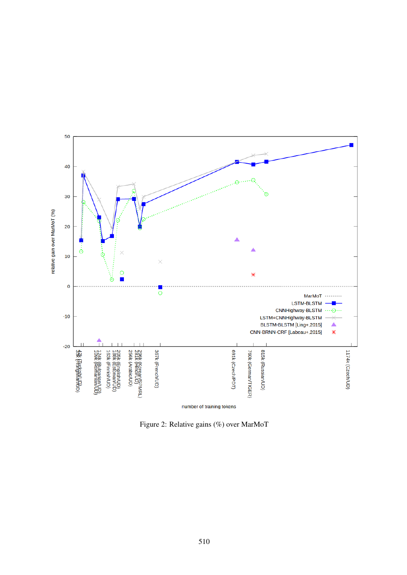

Figure 2: Relative gains (%) over MarMoT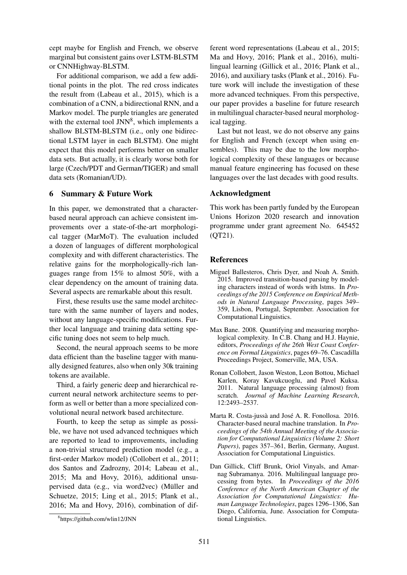cept maybe for English and French, we observe marginal but consistent gains over LSTM-BLSTM or CNNHighway-BLSTM.

For additional comparison, we add a few additional points in the plot. The red cross indicates the result from (Labeau et al., 2015), which is a combination of a CNN, a bidirectional RNN, and a Markov model. The purple triangles are generated with the external tool JNN<sup>8</sup>, which implements a shallow BLSTM-BLSTM (i.e., only one bidirectional LSTM layer in each BLSTM). One might expect that this model performs better on smaller data sets. But actually, it is clearly worse both for large (Czech/PDT and German/TIGER) and small data sets (Romanian/UD).

# 6 Summary & Future Work

In this paper, we demonstrated that a characterbased neural approach can achieve consistent improvements over a state-of-the-art morphological tagger (MarMoT). The evaluation included a dozen of languages of different morphological complexity and with different characteristics. The relative gains for the morphologically-rich languages range from 15% to almost 50%, with a clear dependency on the amount of training data. Several aspects are remarkable about this result.

First, these results use the same model architecture with the same number of layers and nodes, without any language-specific modifications. Further local language and training data setting specific tuning does not seem to help much.

Second, the neural approach seems to be more data efficient than the baseline tagger with manually designed features, also when only 30k training tokens are available.

Third, a fairly generic deep and hierarchical recurrent neural network architecture seems to perform as well or better than a more specialized convolutional neural network based architecture.

Fourth, to keep the setup as simple as possible, we have not used advanced techniques which are reported to lead to improvements, including a non-trivial structured prediction model (e.g., a first-order Markov model) (Collobert et al., 2011; dos Santos and Zadrozny, 2014; Labeau et al., 2015; Ma and Hovy, 2016), additional unsupervised data (e.g., via word2vec) (Müller and Schuetze, 2015; Ling et al., 2015; Plank et al., 2016; Ma and Hovy, 2016), combination of different word representations (Labeau et al., 2015; Ma and Hovy, 2016; Plank et al., 2016), multilingual learning (Gillick et al., 2016; Plank et al., 2016), and auxiliary tasks (Plank et al., 2016). Future work will include the investigation of these more advanced techniques. From this perspective, our paper provides a baseline for future research in multilingual character-based neural morphological tagging.

Last but not least, we do not observe any gains for English and French (except when using ensembles). This may be due to the low morphological complexity of these languages or because manual feature engineering has focused on these languages over the last decades with good results.

### Acknowledgment

This work has been partly funded by the European Unions Horizon 2020 research and innovation programme under grant agreement No. 645452 (QT21).

# References

- Miguel Ballesteros, Chris Dyer, and Noah A. Smith. 2015. Improved transition-based parsing by modeling characters instead of words with lstms. In *Proceedings of the 2015 Conference on Empirical Methods in Natural Language Processing*, pages 349– 359, Lisbon, Portugal, September. Association for Computational Linguistics.
- Max Bane. 2008. Quantifying and measuring morphological complexity. In C.B. Chang and H.J. Haynie, editors, *Proceedings of the 26th West Coast Conference on Formal Linguistics*, pages 69–76. Cascadilla Proceedings Project, Somerville, MA, USA.
- Ronan Collobert, Jason Weston, Leon Bottou, Michael Karlen, Koray Kavukcuoglu, and Pavel Kuksa. 2011. Natural language processing (almost) from scratch. *Journal of Machine Learning Research*, 12:2493–2537.
- Marta R. Costa-jussà and José A. R. Fonollosa. 2016. Character-based neural machine translation. In *Proceedings of the 54th Annual Meeting of the Association for Computational Linguistics (Volume 2: Short Papers)*, pages 357–361, Berlin, Germany, August. Association for Computational Linguistics.
- Dan Gillick, Cliff Brunk, Oriol Vinyals, and Amarnag Subramanya. 2016. Multilingual language processing from bytes. In *Proceedings of the 2016 Conference of the North American Chapter of the Association for Computational Linguistics: Human Language Technologies*, pages 1296–1306, San Diego, California, June. Association for Computational Linguistics.

<sup>8</sup> https://github.com/wlin12/JNN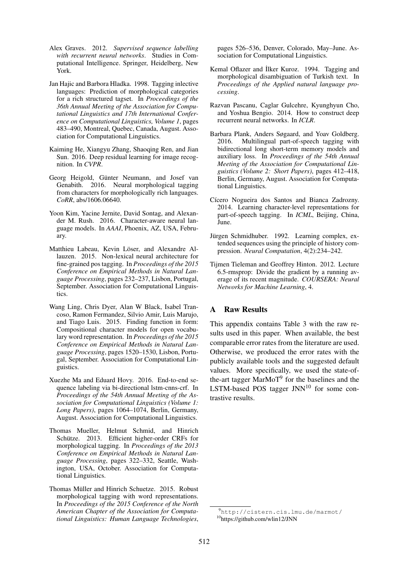- Alex Graves. 2012. *Supervised sequence labelling with recurrent neural networks*. Studies in Computational Intelligence. Springer, Heidelberg, New York.
- Jan Hajic and Barbora Hladka. 1998. Tagging inlective languages: Prediction of morphological categories for a rich structured tagset. In *Proceedings of the 36th Annual Meeting of the Association for Computational Linguistics and 17th International Conference on Computational Linguistics, Volume 1*, pages 483–490, Montreal, Quebec, Canada, August. Association for Computational Linguistics.
- Kaiming He, Xiangyu Zhang, Shaoqing Ren, and Jian Sun. 2016. Deep residual learning for image recognition. In *CVPR*.
- Georg Heigold, Günter Neumann, and Josef van Genabith. 2016. Neural morphological tagging from characters for morphologically rich languages. *CoRR*, abs/1606.06640.
- Yoon Kim, Yacine Jernite, David Sontag, and Alexander M. Rush. 2016. Character-aware neural language models. In *AAAI*, Phoenix, AZ, USA, February.
- Matthieu Labeau, Kevin Löser, and Alexandre Allauzen. 2015. Non-lexical neural architecture for fine-grained pos tagging. In *Proceedings of the 2015 Conference on Empirical Methods in Natural Language Processing*, pages 232–237, Lisbon, Portugal, September. Association for Computational Linguistics.
- Wang Ling, Chris Dyer, Alan W Black, Isabel Trancoso, Ramon Fermandez, Silvio Amir, Luis Marujo, and Tiago Luis. 2015. Finding function in form: Compositional character models for open vocabulary word representation. In *Proceedings of the 2015 Conference on Empirical Methods in Natural Language Processing*, pages 1520–1530, Lisbon, Portugal, September. Association for Computational Linguistics.
- Xuezhe Ma and Eduard Hovy. 2016. End-to-end sequence labeling via bi-directional lstm-cnns-crf. In *Proceedings of the 54th Annual Meeting of the Association for Computational Linguistics (Volume 1: Long Papers)*, pages 1064–1074, Berlin, Germany, August. Association for Computational Linguistics.
- Thomas Mueller, Helmut Schmid, and Hinrich Schütze. 2013. Efficient higher-order CRFs for morphological tagging. In *Proceedings of the 2013 Conference on Empirical Methods in Natural Language Processing*, pages 322–332, Seattle, Washington, USA, October. Association for Computational Linguistics.
- Thomas Müller and Hinrich Schuetze. 2015. Robust morphological tagging with word representations. In *Proceedings of the 2015 Conference of the North American Chapter of the Association for Computational Linguistics: Human Language Technologies*,

pages 526–536, Denver, Colorado, May–June. Association for Computational Linguistics.

- Kemal Oflazer and İlker Kuroz. 1994. Tagging and morphological disambiguation of Turkish text. In *Proceedings of the Applied natural language processing*.
- Razvan Pascanu, Caglar Gulcehre, Kyunghyun Cho, and Yoshua Bengio. 2014. How to construct deep recurrent neural networks. In *ICLR*.
- Barbara Plank, Anders Søgaard, and Yoav Goldberg. 2016. Multilingual part-of-speech tagging with bidirectional long short-term memory models and auxiliary loss. In *Proceedings of the 54th Annual Meeting of the Association for Computational Linguistics (Volume 2: Short Papers)*, pages 412–418, Berlin, Germany, August. Association for Computational Linguistics.
- Cícero Nogueira dos Santos and Bianca Zadrozny. 2014. Learning character-level representations for part-of-speech tagging. In *ICML*, Beijing, China, June.
- Jürgen Schmidhuber. 1992. Learning complex, extended sequences using the principle of history compression. *Neural Computation*, 4(2):234–242.
- Tijmen Tieleman and Geoffrey Hinton. 2012. Lecture 6.5-rmsprop: Divide the gradient by a running average of its recent magnitude. *COURSERA: Neural Networks for Machine Learning*, 4.

# A Raw Results

This appendix contains Table 3 with the raw results used in this paper. When available, the best comparable error rates from the literature are used. Otherwise, we produced the error rates with the publicly available tools and the suggested default values. More specifically, we used the state-ofthe-art tagger MarMoT<sup>9</sup> for the baselines and the LSTM-based POS tagger  $JNN^{10}$  for some contrastive results.

<sup>9</sup>http://cistern.cis.lmu.de/marmot/ <sup>10</sup>https://github.com/wlin12/JNN